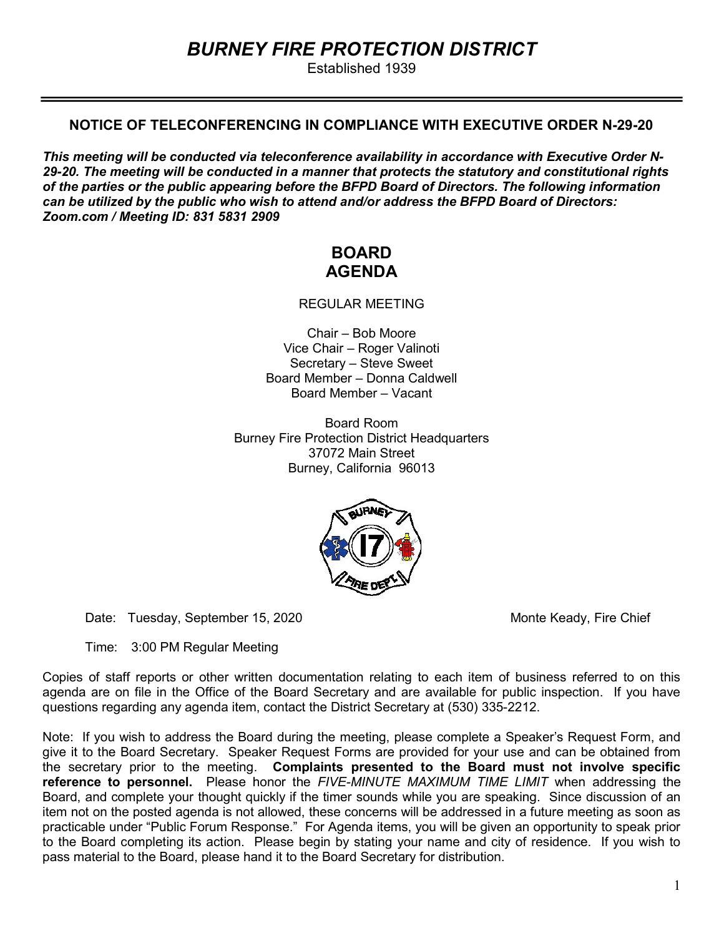# BURNEY FIRE PROTECTION DISTRICT

Established 1939

## NOTICE OF TELECONFERENCING IN COMPLIANCE WITH EXECUTIVE ORDER N-29-20

This meeting will be conducted via teleconference availability in accordance with Executive Order N-29-20. The meeting will be conducted in a manner that protects the statutory and constitutional rights of the parties or the public appearing before the BFPD Board of Directors. The following information can be utilized by the public who wish to attend and/or address the BFPD Board of Directors: Zoom.com / Meeting ID: 831 5831 2909

## BOARD AGENDA

REGULAR MEETING

Chair – Bob Moore Vice Chair – Roger Valinoti Secretary – Steve Sweet Board Member – Donna Caldwell Board Member – Vacant

Board Room Burney Fire Protection District Headquarters 37072 Main Street Burney, California 96013



Date: Tuesday, September 15, 2020 Monte Keady, Fire Chief

Time: 3:00 PM Regular Meeting

Copies of staff reports or other written documentation relating to each item of business referred to on this agenda are on file in the Office of the Board Secretary and are available for public inspection. If you have questions regarding any agenda item, contact the District Secretary at (530) 335-2212.

Note: If you wish to address the Board during the meeting, please complete a Speaker's Request Form, and give it to the Board Secretary. Speaker Request Forms are provided for your use and can be obtained from the secretary prior to the meeting. Complaints presented to the Board must not involve specific reference to personnel. Please honor the FIVE-MINUTE MAXIMUM TIME LIMIT when addressing the Board, and complete your thought quickly if the timer sounds while you are speaking. Since discussion of an item not on the posted agenda is not allowed, these concerns will be addressed in a future meeting as soon as practicable under "Public Forum Response." For Agenda items, you will be given an opportunity to speak prior to the Board completing its action. Please begin by stating your name and city of residence. If you wish to pass material to the Board, please hand it to the Board Secretary for distribution.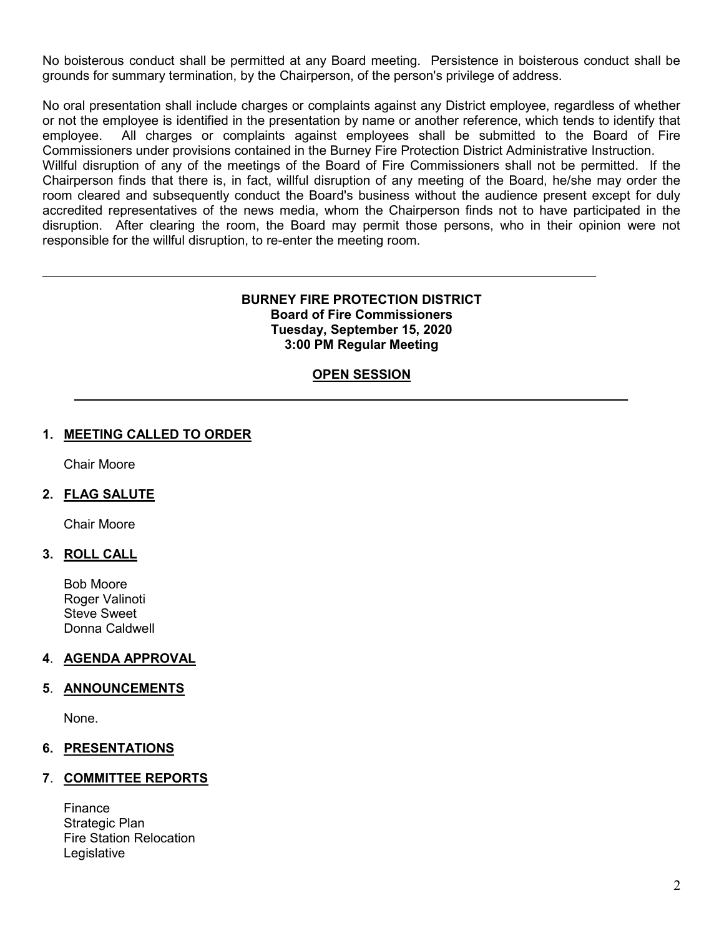No boisterous conduct shall be permitted at any Board meeting. Persistence in boisterous conduct shall be grounds for summary termination, by the Chairperson, of the person's privilege of address.

No oral presentation shall include charges or complaints against any District employee, regardless of whether or not the employee is identified in the presentation by name or another reference, which tends to identify that employee. All charges or complaints against employees shall be submitted to the Board of Fire Commissioners under provisions contained in the Burney Fire Protection District Administrative Instruction. Willful disruption of any of the meetings of the Board of Fire Commissioners shall not be permitted. If the Chairperson finds that there is, in fact, willful disruption of any meeting of the Board, he/she may order the room cleared and subsequently conduct the Board's business without the audience present except for duly accredited representatives of the news media, whom the Chairperson finds not to have participated in the disruption. After clearing the room, the Board may permit those persons, who in their opinion were not responsible for the willful disruption, to re-enter the meeting room.

### BURNEY FIRE PROTECTION DISTRICT Board of Fire Commissioners Tuesday, September 15, 2020 3:00 PM Regular Meeting

## OPEN SESSION

## 1. MEETING CALLED TO ORDER

Chair Moore

## 2. FLAG SALUTE

Chair Moore

## 3. ROLL CALL

Bob Moore Roger Valinoti Steve Sweet Donna Caldwell

## 4. AGENDA APPROVAL

#### 5. ANNOUNCEMENTS

None.

## 6. PRESENTATIONS

#### 7. COMMITTEE REPORTS

 Finance Strategic Plan Fire Station Relocation **Legislative**